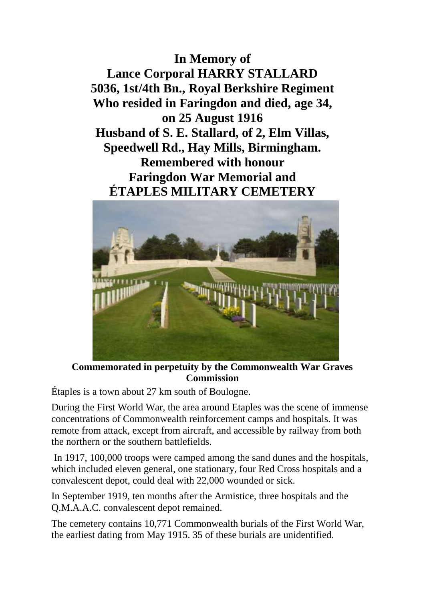**In Memory of Lance Corporal HARRY STALLARD 5036, 1st/4th Bn., Royal Berkshire Regiment Who resided in Faringdon and died, age 34, on 25 August 1916 Husband of S. E. Stallard, of 2, Elm Villas, Speedwell Rd., Hay Mills, Birmingham. Remembered with honour Faringdon War Memorial and ÉTAPLES MILITARY CEMETERY**



**Commemorated in perpetuity by the Commonwealth War Graves Commission** 

Étaples is a town about 27 km south of Boulogne.

During the First World War, the area around Etaples was the scene of immense concentrations of Commonwealth reinforcement camps and hospitals. It was remote from attack, except from aircraft, and accessible by railway from both the northern or the southern battlefields.

In 1917, 100,000 troops were camped among the sand dunes and the hospitals, which included eleven general, one stationary, four Red Cross hospitals and a convalescent depot, could deal with 22,000 wounded or sick.

In September 1919, ten months after the Armistice, three hospitals and the Q.M.A.A.C. convalescent depot remained.

The cemetery contains 10,771 Commonwealth burials of the First World War, the earliest dating from May 1915. 35 of these burials are unidentified.